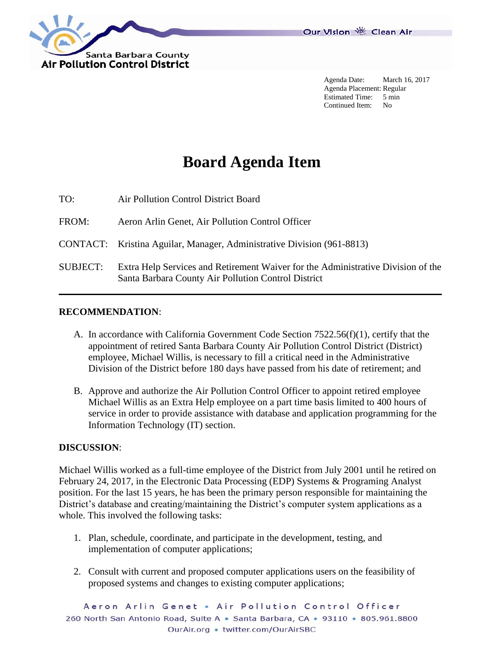

Agenda Date: March 16, 2017 Agenda Placement: Regular Estimated Time: 5 min Continued Item: No

## **Board Agenda Item**

TO: Air Pollution Control District Board

FROM: Aeron Arlin Genet, Air Pollution Control Officer

CONTACT: Kristina Aguilar, Manager, Administrative Division (961-8813)

SUBJECT: Extra Help Services and Retirement Waiver for the Administrative Division of the Santa Barbara County Air Pollution Control District

## **RECOMMENDATION**:

- A. In accordance with California Government Code Section 7522.56(f)(1), certify that the appointment of retired Santa Barbara County Air Pollution Control District (District) employee, Michael Willis, is necessary to fill a critical need in the Administrative Division of the District before 180 days have passed from his date of retirement; and
- B. Approve and authorize the Air Pollution Control Officer to appoint retired employee Michael Willis as an Extra Help employee on a part time basis limited to 400 hours of service in order to provide assistance with database and application programming for the Information Technology (IT) section.

## **DISCUSSION**:

Michael Willis worked as a full-time employee of the District from July 2001 until he retired on February 24, 2017, in the Electronic Data Processing (EDP) Systems & Programing Analyst position. For the last 15 years, he has been the primary person responsible for maintaining the District's database and creating/maintaining the District's computer system applications as a whole. This involved the following tasks:

- 1. Plan, schedule, coordinate, and participate in the development, testing, and implementation of computer applications;
- 2. Consult with current and proposed computer applications users on the feasibility of proposed systems and changes to existing computer applications;

Aeron Arlin Genet . Air Pollution Control Officer 260 North San Antonio Road, Suite A · Santa Barbara, CA · 93110 · 805.961.8800 OurAir.org • twitter.com/OurAirSBC